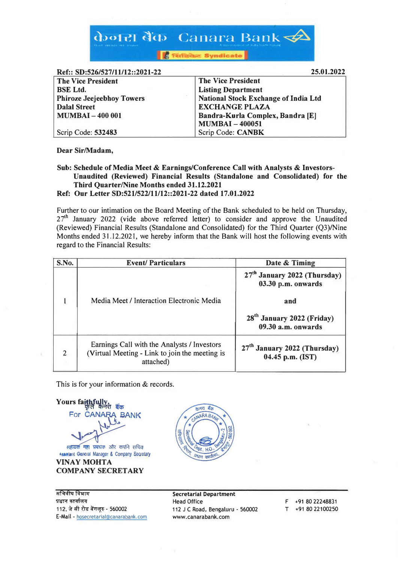

**Ref:: SD:526/527/11/12::2021-22** 

| 133166 DIJ6JEVIJE II LII LEGIEVEL EE | ,,,,,,,,,,,,                         |
|--------------------------------------|--------------------------------------|
| <b>The Vice President</b>            | <b>The Vice President</b>            |
| <b>BSE</b> Ltd.                      | <b>Listing Department</b>            |
| <b>Phiroze Jeejeebhoy Towers</b>     | National Stock Exchange of India Ltd |
| <b>Dalal Street</b>                  | <b>EXCHANGE PLAZA</b>                |
| <b>MUMBAI-400 001</b>                | Bandra-Kurla Complex, Bandra [E]     |
|                                      | <b>MUMBAI-400051</b>                 |
| Scrip Code: 532483                   | Scrip Code: CANBK                    |

**Dear Sir/Madam,** 

**Sub: Schedule of Media Meet & Earnings/Conference Call with Analysts & Investors-Unaudited (Reviewed) Financial Results (Standalone and Consolidated) for the Third Quarter/Nine Months ended 31.12.2021 Ref: Our Letter SD:521/522/11/12::2021-22 dated 17.01.2022** 

Further to our intimation on the Board Meeting of the Bank scheduled to be held on Thursday,  $27<sup>th</sup>$  January 2022 (vide above referred letter) to consider and approve the Unaudited (Reviewed) Financial Results (Standalone and Consolidated) for the Third Quarter (Q3)/Nine Months ended 31.12.2021, we hereby inform that the Bank will host the following events with regard to the Financial Results:

| S.No.          | <b>Event/Particulars</b>                                                                                   | Date & Timing                                                  |
|----------------|------------------------------------------------------------------------------------------------------------|----------------------------------------------------------------|
|                |                                                                                                            | 27 <sup>th</sup> January 2022 (Thursday)<br>03.30 p.m. onwards |
|                | Media Meet / Interaction Electronic Media                                                                  | and                                                            |
|                | 28 <sup>th</sup> January 2022 (Friday)<br>$09.30$ a.m. onwards                                             |                                                                |
| $\overline{2}$ | Earnings Call with the Analysts / Investors<br>(Virtual Meeting - Link to join the meeting is<br>attached) | 27 <sup>th</sup> January 2022 (Thursday)<br>04.45 p.m. (IST)   |

This is for your information & records.

**Yours faithfully** For CANARA BANK सहायक महा प्रबंधक और कंपनि सचिव Assistant General Manager & Company Secretary **VINAY MOHTA** 

**COMPANY SECRETARY** 





**Secretarial Department**  Head Office 112 JC Road, Bengaluru - 560002 www.canarabank.com

F +91 80 22248831 T +91 80 22100250

**25.01.2022**